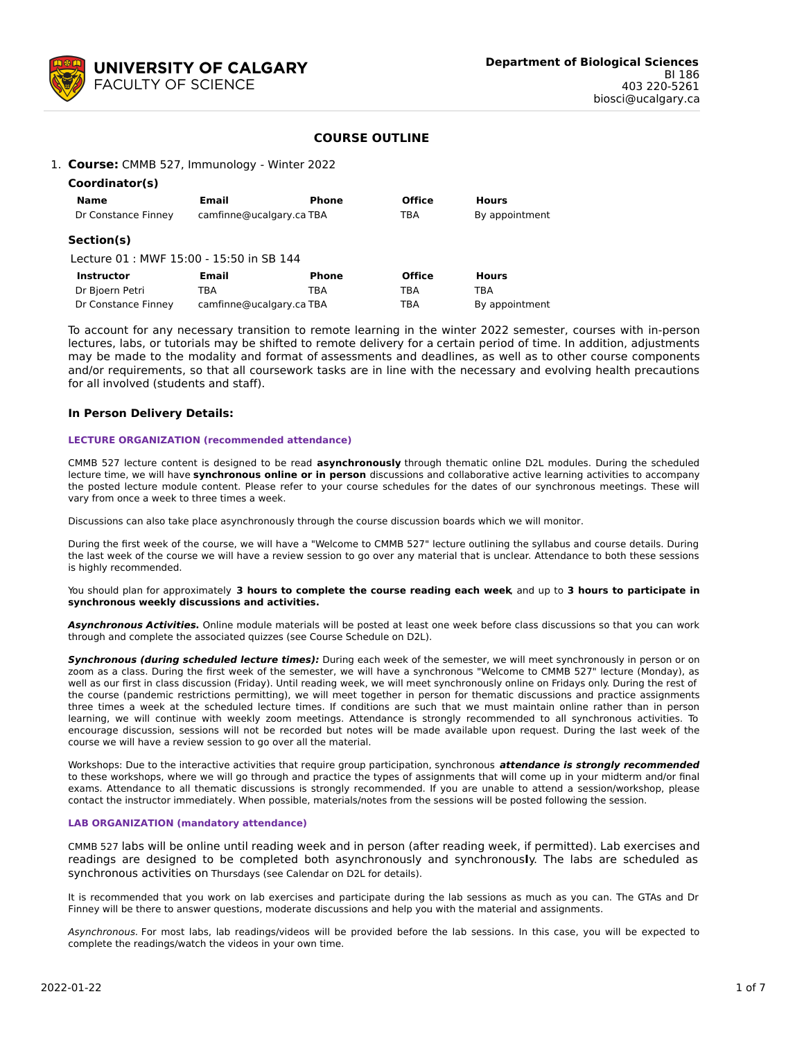

## **COURSE OUTLINE**

#### 1. **Course:** CMMB 527, Immunology - Winter 2022

| Coordinator(s)                          |                          |              |               |                |
|-----------------------------------------|--------------------------|--------------|---------------|----------------|
| <b>Name</b>                             | Email                    | <b>Phone</b> | <b>Office</b> | <b>Hours</b>   |
| Dr Constance Finney                     | camfinne@ucalgary.ca TBA |              | TBA           | By appointment |
| Section(s)                              |                          |              |               |                |
| Lecture 01: MWF 15:00 - 15:50 in SB 144 |                          |              |               |                |
| <b>Instructor</b>                       | <b>Email</b>             | <b>Phone</b> | <b>Office</b> | <b>Hours</b>   |
| Do Dissour Datai                        | — n.                     | $\tau$ n a   | $-$ n $\sim$  | TD A           |

Dr Bjoern Petri TBA TBA TBA TBA Dr Constance Finney camfinne@ucalgary.ca TBA TBA By appointment

To account for any necessary transition to remote learning in the winter 2022 semester, courses with in-person lectures, labs, or tutorials may be shifted to remote delivery for a certain period of time. In addition, adjustments may be made to the modality and format of assessments and deadlines, as well as to other course components and/or requirements, so that all coursework tasks are in line with the necessary and evolving health precautions for all involved (students and staff).

#### **In Person Delivery Details:**

#### **LECTURE ORGANIZATION (recommended attendance)**

CMMB 527 lecture content is designed to be read **asynchronously** through thematic online D2L modules. During the scheduled lecture time, we will have **synchronous online or in person** discussions and collaborative active learning activities to accompany the posted lecture module content. Please refer to your course schedules for the dates of our synchronous meetings. These will vary from once a week to three times a week.

Discussions can also take place asynchronously through the course discussion boards which we will monitor.

During the first week of the course, we will have a "Welcome to CMMB 527" lecture outlining the syllabus and course details. During the last week of the course we will have a review session to go over any material that is unclear. Attendance to both these sessions is highly recommended.

You should plan for approximately **3 hours to complete the course reading each week**, and up to **3 hours to participate in synchronous weekly discussions and activities.**

**Asynchronous Activities.** Online module materials will be posted at least one week before class discussions so that you can work through and complete the associated quizzes (see Course Schedule on D2L).

**Synchronous (during scheduled lecture times):** During each week of the semester, we will meet synchronously in person or on zoom as a class. During the first week of the semester, we will have a synchronous "Welcome to CMMB 527" lecture (Monday), as well as our first in class discussion (Friday). Until reading week, we will meet synchronously online on Fridays only. During the rest of the course (pandemic restrictions permitting), we will meet together in person for thematic discussions and practice assignments three times a week at the scheduled lecture times. If conditions are such that we must maintain online rather than in person learning, we will continue with weekly zoom meetings. Attendance is strongly recommended to all synchronous activities. To encourage discussion, sessions will not be recorded but notes will be made available upon request. During the last week of the course we will have a review session to go over all the material.

Workshops: Due to the interactive activities that require group participation, synchronous **attendance is strongly recommended** to these workshops, where we will go through and practice the types of assignments that will come up in your midterm and/or final exams. Attendance to all thematic discussions is strongly recommended. If you are unable to attend a session/workshop, please contact the instructor immediately. When possible, materials/notes from the sessions will be posted following the session.

#### **LAB ORGANIZATION (mandatory attendance)**

CMMB 527 labs will be online until reading week and in person (after reading week, if permitted). Lab exercises and readings are designed to be completed both asynchronously and synchronous**l**y. The labs are scheduled as synchronous activities on Thursdays (see Calendar on D2L for details).

It is recommended that you work on lab exercises and participate during the lab sessions as much as you can. The GTAs and Dr Finney will be there to answer questions, moderate discussions and help you with the material and assignments.

Asynchronous. For most labs, lab readings/videos will be provided before the lab sessions. In this case, you will be expected to complete the readings/watch the videos in your own time.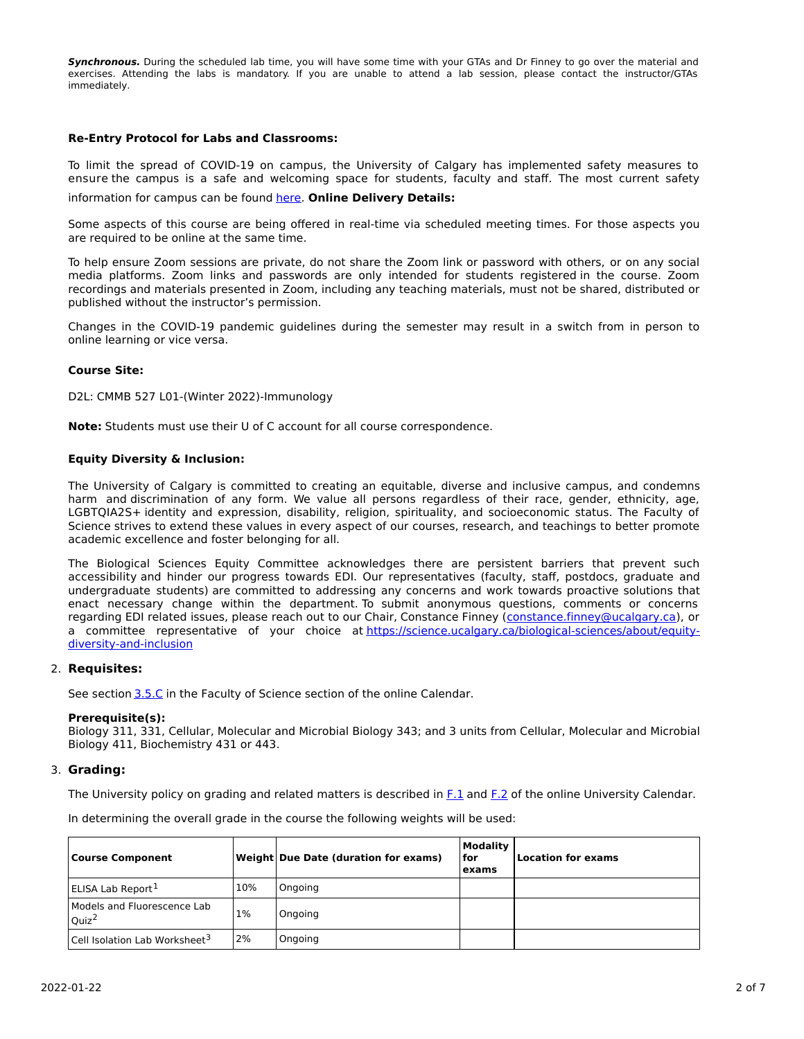**Synchronous.** During the scheduled lab time, you will have some time with your GTAs and Dr Finney to go over the material and exercises. Attending the labs is mandatory. If you are unable to attend a lab session, please contact the instructor/GTAs immediately.

#### **Re-Entry Protocol for Labs and Classrooms:**

To limit the spread of COVID-19 on campus, the University of Calgary has implemented safety measures to ensure the campus is a safe and welcoming space for students, faculty and staff. The most current safety information for campus can be found [here](https://www.ucalgary.ca/risk/emergency-management/covid-19-response/return-campus-safety). **Online Delivery Details:**

Some aspects of this course are being offered in real-time via scheduled meeting times. For those aspects you are required to be online at the same time.

To help ensure Zoom sessions are private, do not share the Zoom link or password with others, or on any social media platforms. Zoom links and passwords are only intended for students registered in the course. Zoom recordings and materials presented in Zoom, including any teaching materials, must not be shared, distributed or published without the instructor's permission.

Changes in the COVID-19 pandemic guidelines during the semester may result in a switch from in person to online learning or vice versa.

#### **Course Site:**

D2L: CMMB 527 L01-(Winter 2022)-Immunology

**Note:** Students must use their U of C account for all course correspondence.

#### **Equity Diversity & Inclusion:**

The University of Calgary is committed to creating an equitable, diverse and inclusive campus, and condemns harm and discrimination of any form. We value all persons regardless of their race, gender, ethnicity, age, LGBTQIA2S+ identity and expression, disability, religion, spirituality, and socioeconomic status. The Faculty of Science strives to extend these values in every aspect of our courses, research, and teachings to better promote academic excellence and foster belonging for all.

The Biological Sciences Equity Committee acknowledges there are persistent barriers that prevent such accessibility and hinder our progress towards EDI. Our representatives (faculty, staff, postdocs, graduate and undergraduate students) are committed to addressing any concerns and work towards proactive solutions that enact necessary change within the department. To submit anonymous questions, comments or concerns regarding EDI related issues, please reach out to our Chair, Constance Finney ([constance.finney@ucalgary.ca](mailto:constance.finney@ucalgary.ca)), or a committee representative of your choice at [https://science.ucalgary.ca/biological-sciences/about/equity](https://science.ucalgary.ca/biological-sciences/about/equity-diversity-and-inclusion)diversity-and-inclusion

#### 2. **Requisites:**

See section [3.5.C](http://www.ucalgary.ca/pubs/calendar/current/sc-3-5.html) in the Faculty of Science section of the online Calendar.

#### **Prerequisite(s):**

Biology 311, 331, Cellular, Molecular and Microbial Biology 343; and 3 units from Cellular, Molecular and Microbial Biology 411, Biochemistry 431 or 443.

#### 3. **Grading:**

The University policy on grading and related matters is described in [F.1](http://www.ucalgary.ca/pubs/calendar/current/f-1.html) and [F.2](http://www.ucalgary.ca/pubs/calendar/current/f-2.html) of the online University Calendar.

In determining the overall grade in the course the following weights will be used:

| <b>Course Component</b>                          |     | <b>Weight Due Date (duration for exams)</b> | <b>Modality</b><br>for<br>exams | <b>Location for exams</b> |
|--------------------------------------------------|-----|---------------------------------------------|---------------------------------|---------------------------|
| ELISA Lab Report <sup>1</sup>                    | 10% | Ongoing                                     |                                 |                           |
| Models and Fluorescence Lab<br>Quiz <sup>2</sup> | 1%  | Ongoing                                     |                                 |                           |
| Cell Isolation Lab Worksheet <sup>3</sup>        | 2%  | Ongoing                                     |                                 |                           |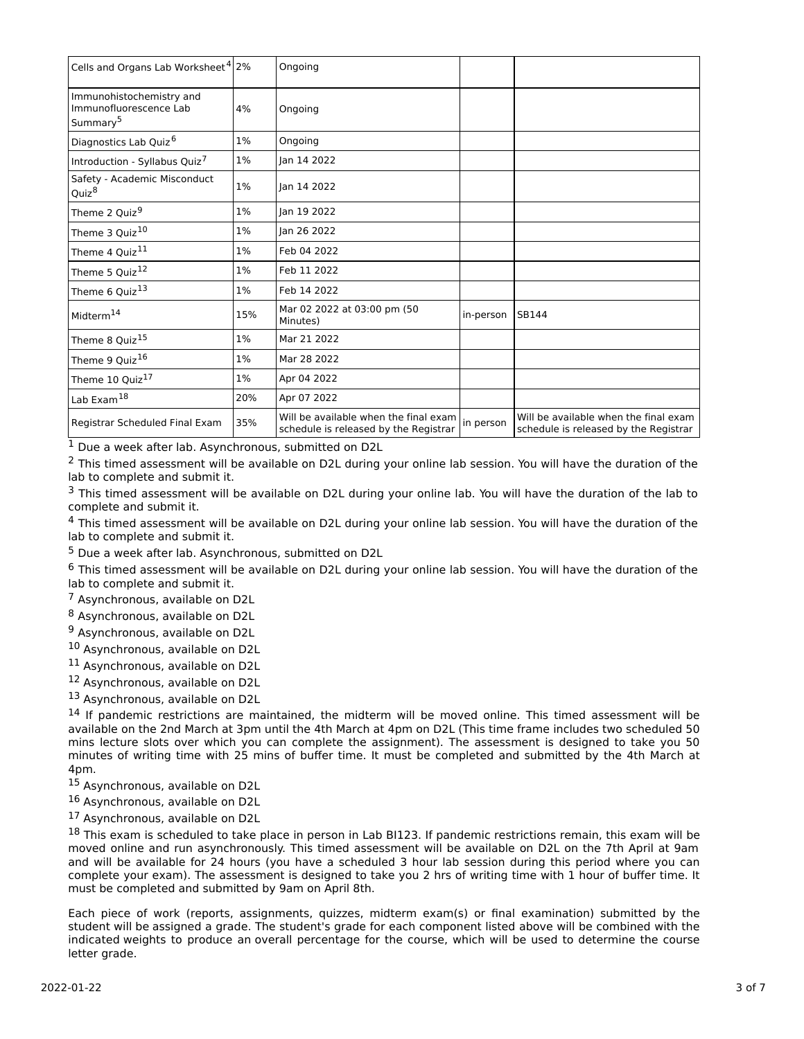| Cells and Organs Lab Worksheet <sup>4</sup> 2%                             |       | Ongoing                                                                        |           |                                                                                |
|----------------------------------------------------------------------------|-------|--------------------------------------------------------------------------------|-----------|--------------------------------------------------------------------------------|
| Immunohistochemistry and<br>Immunofluorescence Lab<br>Summary <sup>5</sup> | 4%    | Ongoing                                                                        |           |                                                                                |
| Diagnostics Lab Quiz <sup>6</sup>                                          | $1\%$ | Ongoing                                                                        |           |                                                                                |
| Introduction - Syllabus Quiz <sup>7</sup>                                  | $1\%$ | lan 14 2022                                                                    |           |                                                                                |
| Safety - Academic Misconduct<br>Quiz <sup>8</sup>                          | 1%    | lan 14 2022                                                                    |           |                                                                                |
| Theme 2 Quiz <sup>9</sup>                                                  | $1\%$ | lan 19 2022                                                                    |           |                                                                                |
| Theme 3 Quiz <sup>10</sup>                                                 | $1\%$ | lan 26 2022                                                                    |           |                                                                                |
| Theme 4 Quiz <sup>11</sup>                                                 | 1%    | Feb 04 2022                                                                    |           |                                                                                |
| Theme 5 Quiz <sup>12</sup>                                                 | $1\%$ | Feb 11 2022                                                                    |           |                                                                                |
| Theme 6 Quiz <sup>13</sup>                                                 | 1%    | Feb 14 2022                                                                    |           |                                                                                |
| Midterm <sup>14</sup>                                                      | 15%   | Mar 02 2022 at 03:00 pm (50<br>Minutes)                                        | in-person | SB144                                                                          |
| Theme 8 Quiz <sup>15</sup>                                                 | 1%    | Mar 21 2022                                                                    |           |                                                                                |
| Theme 9 Quiz <sup>16</sup>                                                 | $1\%$ | Mar 28 2022                                                                    |           |                                                                                |
| Theme 10 Quiz <sup>17</sup>                                                | $1\%$ | Apr 04 2022                                                                    |           |                                                                                |
| Lab Exam <sup>18</sup>                                                     | 20%   | Apr 07 2022                                                                    |           |                                                                                |
| Registrar Scheduled Final Exam                                             | 35%   | Will be available when the final exam<br>schedule is released by the Registrar | in person | Will be available when the final exam<br>schedule is released by the Registrar |

<sup>1</sup> Due a week after lab. Asynchronous, submitted on D2L

 $<sup>2</sup>$  This timed assessment will be available on D2L during your online lab session. You will have the duration of the</sup> lab to complete and submit it.

 $3$  This timed assessment will be available on D2L during your online lab. You will have the duration of the lab to complete and submit it.

<sup>4</sup> This timed assessment will be available on D2L during your online lab session. You will have the duration of the lab to complete and submit it.

<sup>5</sup> Due a week after lab. Asynchronous, submitted on D2L

<sup>6</sup> This timed assessment will be available on D2L during your online lab session. You will have the duration of the lab to complete and submit it.

<sup>7</sup> Asynchronous, available on D2L

<sup>8</sup> Asynchronous, available on D2L

<sup>9</sup> Asynchronous, available on D2L

<sup>10</sup> Asynchronous, available on D2L

<sup>11</sup> Asynchronous, available on D2L

<sup>12</sup> Asynchronous, available on D2L

13 Asynchronous, available on D2L

<sup>14</sup> If pandemic restrictions are maintained, the midterm will be moved online. This timed assessment will be available on the 2nd March at 3pm until the 4th March at 4pm on D2L (This time frame includes two scheduled 50 mins lecture slots over which you can complete the assignment). The assessment is designed to take you 50 minutes of writing time with 25 mins of buffer time. It must be completed and submitted by the 4th March at 4pm.

<sup>15</sup> Asynchronous, available on D2L

<sup>16</sup> Asynchronous, available on D2L

<sup>17</sup> Asynchronous, available on D2L

18 This exam is scheduled to take place in person in Lab BI123. If pandemic restrictions remain, this exam will be moved online and run asynchronously. This timed assessment will be available on D2L on the 7th April at 9am and will be available for 24 hours (you have a scheduled 3 hour lab session during this period where you can complete your exam). The assessment is designed to take you 2 hrs of writing time with 1 hour of buffer time. It must be completed and submitted by 9am on April 8th.

Each piece of work (reports, assignments, quizzes, midterm exam(s) or final examination) submitted by the student will be assigned a grade. The student's grade for each component listed above will be combined with the indicated weights to produce an overall percentage for the course, which will be used to determine the course letter grade.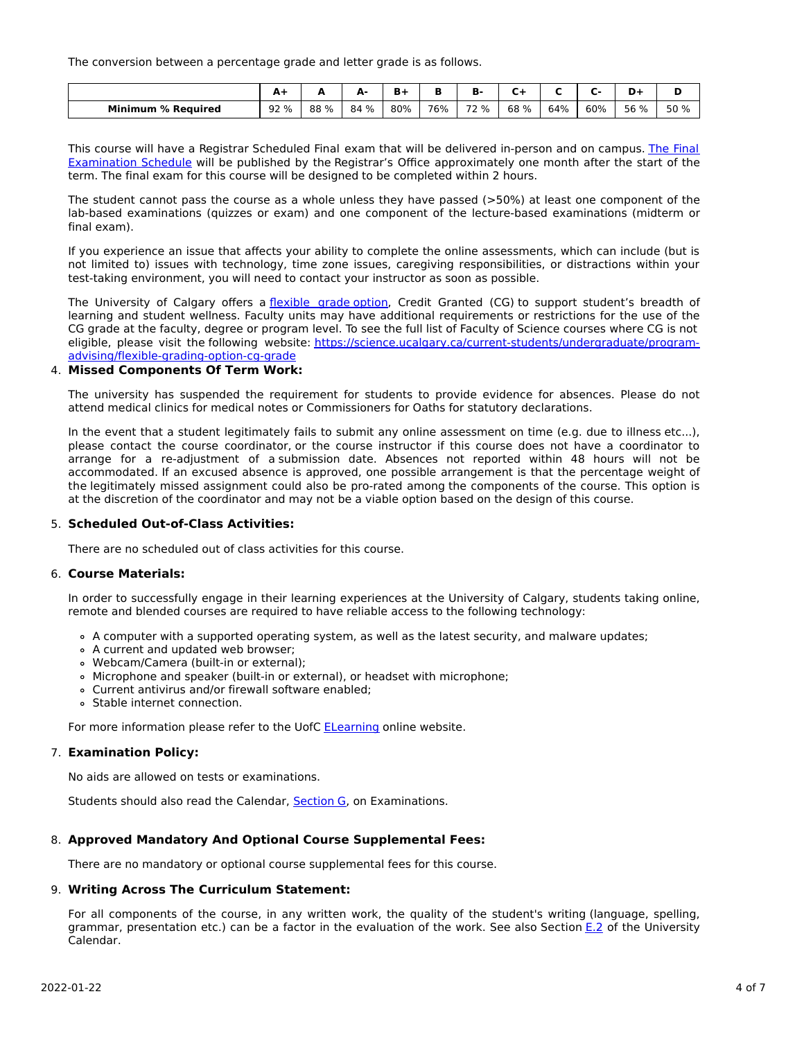The conversion between a percentage grade and letter grade is as follows.

|                           | A-   | -    | А-   |     |     | n-   |      |     |     | D-   | D    |
|---------------------------|------|------|------|-----|-----|------|------|-----|-----|------|------|
| <b>Minimum % Required</b> | 92 % | 88 % | 84 % | 80% | 76% | 72 % | 68 % | 64% | 60% | 56 % | 50 % |

This course will have a Registrar Scheduled Final exam that will be delivered in-person and on campus. The Final Examination Schedule will be published by the Registrar's Office [approximately](https://www.ucalgary.ca/registrar/exams) one month after the start of the term. The final exam for this course will be designed to be completed within 2 hours.

The student cannot pass the course as a whole unless they have passed (>50%) at least one component of the lab-based examinations (quizzes or exam) and one component of the lecture-based examinations (midterm or final exam).

If you experience an issue that affects your ability to complete the online assessments, which can include (but is not limited to) issues with technology, time zone issues, caregiving responsibilities, or distractions within your test-taking environment, you will need to contact your instructor as soon as possible.

The University of Calgary offers a [flexible](https://www.ucalgary.ca/pubs/calendar/current/f-1-3.html) grade option, Credit Granted (CG) to support student's breadth of learning and student wellness. Faculty units may have additional requirements or restrictions for the use of the CG grade at the faculty, degree or program level. To see the full list of Faculty of Science courses where CG is not eligible, please visit the following website: [https://science.ucalgary.ca/current-students/undergraduate/program](https://science.ucalgary.ca/current-students/undergraduate/program-advising/flexible-grading-option-cg-grade)advising/flexible-grading-option-cg-grade

## 4. **Missed Components Of Term Work:**

The university has suspended the requirement for students to provide evidence for absences. Please do not attend medical clinics for medical notes or Commissioners for Oaths for statutory declarations.

In the event that a student legitimately fails to submit any online assessment on time (e.g. due to illness etc...), please contact the course coordinator, or the course instructor if this course does not have a coordinator to arrange for a re-adjustment of a submission date. Absences not reported within 48 hours will not be accommodated. If an excused absence is approved, one possible arrangement is that the percentage weight of the legitimately missed assignment could also be pro-rated among the components of the course. This option is at the discretion of the coordinator and may not be a viable option based on the design of this course.

## 5. **Scheduled Out-of-Class Activities:**

There are no scheduled out of class activities for this course.

## 6. **Course Materials:**

In order to successfully engage in their learning experiences at the University of Calgary, students taking online, remote and blended courses are required to have reliable access to the following technology:

- A computer with a supported operating system, as well as the latest security, and malware updates;
- A current and updated web browser;
- Webcam/Camera (built-in or external);
- Microphone and speaker (built-in or external), or headset with microphone;
- Current antivirus and/or firewall software enabled;
- Stable internet connection.

For more information please refer to the UofC [ELearning](https://elearn.ucalgary.ca/technology-requirements-for-students) online website.

## 7. **Examination Policy:**

No aids are allowed on tests or examinations.

Students should also read the Calendar, **[Section](http://www.ucalgary.ca/pubs/calendar/current/g.html) G**, on Examinations.

## 8. **Approved Mandatory And Optional Course Supplemental Fees:**

There are no mandatory or optional course supplemental fees for this course.

## 9. **Writing Across The Curriculum Statement:**

For all components of the course, in any written work, the quality of the student's writing (language, spelling, grammar, presentation etc.) can be a factor in the evaluation of the work. See also Section [E.2](http://www.ucalgary.ca/pubs/calendar/current/e-2.html) of the University Calendar.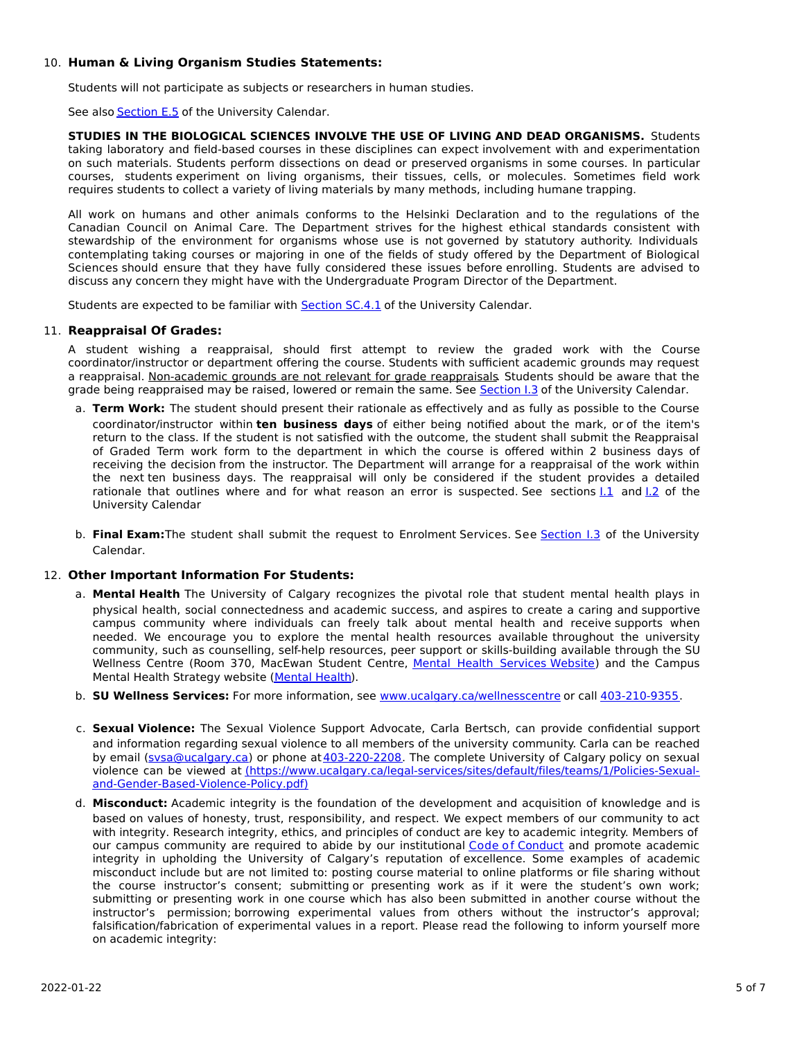# 10. **Human & Living Organism Studies Statements:**

Students will not participate as subjects or researchers in human studies.

See also **[Section](http://www.ucalgary.ca/pubs/calendar/current/e-5.html) E.5** of the University Calendar.

**STUDIES IN THE BIOLOGICAL SCIENCES INVOLVE THE USE OF LIVING AND DEAD ORGANISMS.** Students taking laboratory and field-based courses in these disciplines can expect involvement with and experimentation on such materials. Students perform dissections on dead or preserved organisms in some courses. In particular courses, students experiment on living organisms, their tissues, cells, or molecules. Sometimes field work requires students to collect a variety of living materials by many methods, including humane trapping.

All work on humans and other animals conforms to the Helsinki Declaration and to the regulations of the Canadian Council on Animal Care. The Department strives for the highest ethical standards consistent with stewardship of the environment for organisms whose use is not governed by statutory authority. Individuals contemplating taking courses or majoring in one of the fields of study offered by the Department of Biological Sciences should ensure that they have fully considered these issues before enrolling. Students are advised to discuss any concern they might have with the Undergraduate Program Director of the Department.

Students are expected to be familiar with [Section](http://www.ucalgary.ca/pubs/calendar/current/sc-4-1.html) SC.4.1 of the University Calendar.

## 11. **Reappraisal Of Grades:**

A student wishing a reappraisal, should first attempt to review the graded work with the Course coordinator/instructor or department offering the course. Students with sufficient academic grounds may request a reappraisal. Non-academic grounds are not relevant for grade reappraisals. Students should be aware that the grade being reappraised may be raised, lowered or remain the same. See [Section](http://www.ucalgary.ca/pubs/calendar/current/i-3.html) I.3 of the University Calendar.

- a. **Term Work:** The student should present their rationale as effectively and as fully as possible to the Course coordinator/instructor within **ten business days** of either being notified about the mark, or of the item's return to the class. If the student is not satisfied with the outcome, the student shall submit the Reappraisal of Graded Term work form to the department in which the course is offered within 2 business days of receiving the decision from the instructor. The Department will arrange for a reappraisal of the work within the next ten business days. The reappraisal will only be considered if the student provides a detailed rationale that outlines where and for what reason an error is suspected. See sections  $1.1$  and  $1.2$  of the University Calendar
- b. **Final Exam:**The student shall submit the request to Enrolment Services. See [Section](http://www.ucalgary.ca/pubs/calendar/current/i-3.html) I.3 of the University Calendar.

## 12. **Other Important Information For Students:**

- a. **Mental Health** The University of Calgary recognizes the pivotal role that student mental health plays in physical health, social connectedness and academic success, and aspires to create a caring and supportive campus community where individuals can freely talk about mental health and receive supports when needed. We encourage you to explore the mental health resources available throughout the university community, such as counselling, self-help resources, peer support or skills-building available through the SU Wellness Centre (Room 370, MacEwan Student Centre, Mental Health [Services](https://www.ucalgary.ca/wellnesscentre/services/mental-health-services) Website) and the Campus Mental Health Strategy website [\(Mental](http://www.ucalgary.ca/mentalhealth) Health).
- b. **SU Wellness Services:** For more information, see [www.ucalgary.ca/wellnesscentre](http://www.ucalgary.ca/wellnesscentre) or call [403-210-9355.](tel:4032109355)
- c. **Sexual Violence:** The Sexual Violence Support Advocate, Carla Bertsch, can provide confidential support and information regarding sexual violence to all members of the university community. Carla can be reached by email (sysa@ucalgary.ca) or phone at [403-220-2208](tel:4032202208). The complete University of Calgary policy on sexual violence can be viewed at [\(https://www.ucalgary.ca/legal-services/sites/default/files/teams/1/Policies-Sexual](https://www.ucalgary.ca/legal-services/sites/default/files/teams/1/Policies-Sexual-and-Gender-Based-Violence-Policy.pdf)and-Gender-Based-Violence-Policy.pdf)
- d. **Misconduct:** Academic integrity is the foundation of the development and acquisition of knowledge and is based on values of honesty, trust, responsibility, and respect. We expect members of our community to act with integrity. Research integrity, ethics, and principles of conduct are key to academic integrity. Members of our campus community are required to abide by our institutional Code of [Conduct](https://www.ucalgary.ca/legal-services/sites/default/files/teams/1/Policies-Code-of-Conduct.pdf) and promote academic integrity in upholding the University of Calgary's reputation of excellence. Some examples of academic misconduct include but are not limited to: posting course material to online platforms or file sharing without the course instructor's consent; submitting or presenting work as if it were the student's own work; submitting or presenting work in one course which has also been submitted in another course without the instructor's permission; borrowing experimental values from others without the instructor's approval; falsification/fabrication of experimental values in a report. Please read the following to inform yourself more on academic integrity: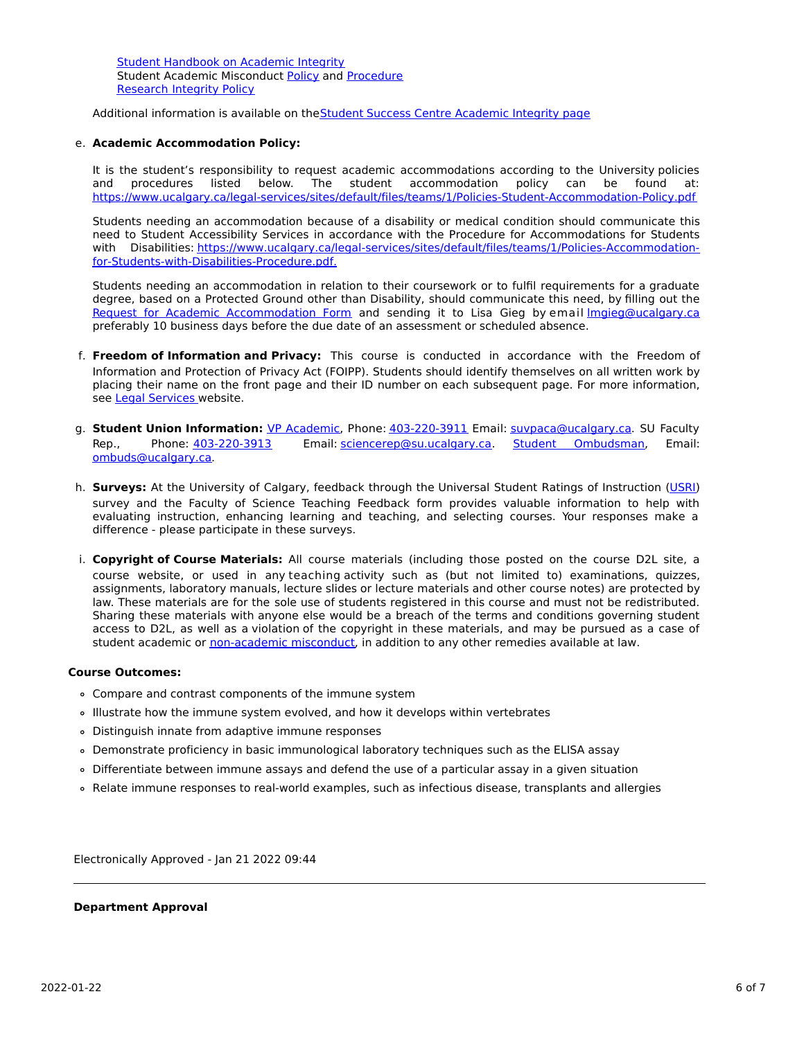Student [Handbook](https://www.ucalgary.ca/live-uc-ucalgary-site/sites/default/files/teams/9/AI-Student-handbook-1.pdf) on Academic Integrity Student Academic Misconduct [Policy](https://www.ucalgary.ca/legal-services/sites/default/files/teams/1/Policies-Student-Academic-Misconduct-Policy.pdf) and [Procedure](https://www.ucalgary.ca/legal-services/sites/default/files/teams/1/Policies-Student-Academic-Misconduct-Procedure.pdf) [Research](https://www.ucalgary.ca/legal-services/sites/default/files/teams/1/Policies-Research-Integrity-Policy.pdf) Integrity Policy

Additional information is available on theStudent Success Centre [Academic](https://ucalgary.ca/student-services/student-success/learning/academic-integrity) Integrity page

#### e. **Academic Accommodation Policy:**

It is the student's responsibility to request academic accommodations according to the University policies and procedures listed below. The student accommodation policy can be found at: <https://www.ucalgary.ca/legal-services/sites/default/files/teams/1/Policies-Student-Accommodation-Policy.pdf>

Students needing an accommodation because of a disability or medical condition should communicate this need to Student Accessibility Services in accordance with the Procedure for Accommodations for Students with Disabilities: [https://www.ucalgary.ca/legal-services/sites/default/files/teams/1/Policies-Accommodation](https://www.ucalgary.ca/legal-services/sites/default/files/teams/1/Policies-Accommodation-for-Students-with-Disabilities-Procedure.pdf)for-Students-with-Disabilities-Procedure.pdf.

Students needing an accommodation in relation to their coursework or to fulfil requirements for a graduate degree, based on a Protected Ground other than Disability, should communicate this need, by filling out the Request for Academic [Accommodation](https://science.ucalgary.ca/sites/default/files/teams/1/request-accommodation-academic-courses.pdf) Form and sending it to Lisa Gieg by email Imgieg@ucalgary.ca preferably 10 business days before the due date of an assessment or scheduled absence.

- f. **Freedom of Information and Privacy:** This course is conducted in accordance with the Freedom of Information and Protection of Privacy Act (FOIPP). Students should identify themselves on all written work by placing their name on the front page and their ID number on each subsequent page. For more information, see Legal [Services](https://www.ucalgary.ca/legal-services/access-information-privacy) website.
- g. **Student Union Information:** VP [Academic](http://www.su.ucalgary.ca/contact), Phone: [403-220-3911](tel:4032203911) Email: [suvpaca@ucalgary.ca](mailto:suvpaca@ucalgary.ca). SU Faculty Rep., Phone: [403-220-3913](tel:4032203913) Email: [sciencerep@su.ucalgary.ca](mailto:sciencerep@su.ucalgary.ca). Student [Ombudsman](https://www.ucalgary.ca/ombuds/), Email: [ombuds@ucalgary.ca](mailto:%20ombuds@ucalgary.ca).
- h. **Surveys:** At the University of Calgary, feedback through the Universal Student Ratings of Instruction [\(USRI](http://www.ucalgary.ca/usri)) survey and the Faculty of Science Teaching Feedback form provides valuable information to help with evaluating instruction, enhancing learning and teaching, and selecting courses. Your responses make a difference - please participate in these surveys.
- i. **Copyright of Course Materials:** All course materials (including those posted on the course D2L site, a course website, or used in any teaching activity such as (but not limited to) examinations, quizzes, assignments, laboratory manuals, lecture slides or lecture materials and other course notes) are protected by law. These materials are for the sole use of students registered in this course and must not be redistributed. Sharing these materials with anyone else would be a breach of the terms and conditions governing student access to D2L, as well as a violation of the copyright in these materials, and may be pursued as a case of student academic or [non-academic](https://www.ucalgary.ca/conduct/policy/non-academic-misconduct-policy) misconduct, in addition to any other remedies available at law.

#### **Course Outcomes:**

- Compare and contrast components of the immune system
- Illustrate how the immune system evolved, and how it develops within vertebrates
- Distinguish innate from adaptive immune responses
- Demonstrate proficiency in basic immunological laboratory techniques such as the ELISA assay
- Differentiate between immune assays and defend the use of a particular assay in a given situation
- Relate immune responses to real-world examples, such as infectious disease, transplants and allergies

Electronically Approved - Jan 21 2022 09:44

## **Department Approval**